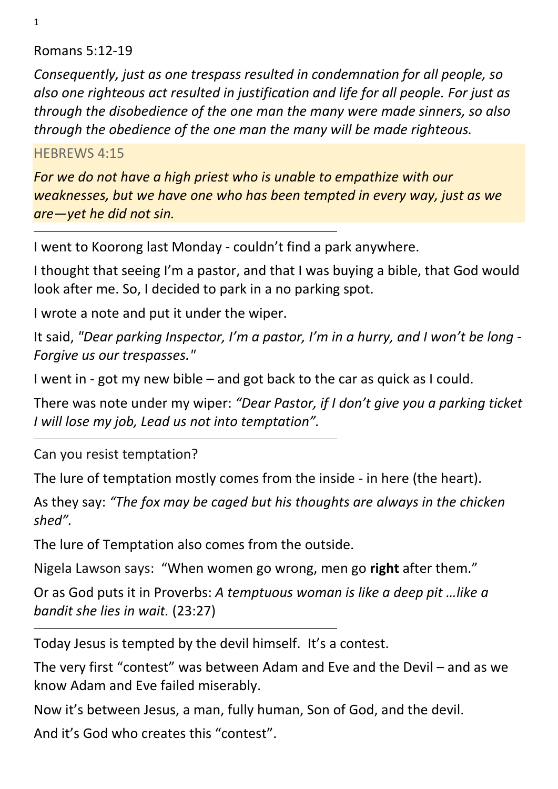1

#### Romans 5:12-19

*Consequently, just as one trespass resulted in condemnation for all people, so also one righteous act resulted in justification and life for all people. For just as through the disobedience of the one man the many were made sinners, so also through the obedience of the one man the many will be made righteous.* 

#### HEBREWS 4:15

*For we do not have a high priest who is unable to empathize with our weaknesses, but we have one who has been tempted in every way, just as we are—yet he did not sin.* 

I went to Koorong last Monday - couldn't find a park anywhere.

I thought that seeing I'm a pastor, and that I was buying a bible, that God would look after me. So, I decided to park in a no parking spot.

I wrote a note and put it under the wiper.

It said, *"Dear parking Inspector, I'm a pastor, I'm in a hurry, and I won't be long - Forgive us our trespasses."*

I went in - got my new bible – and got back to the car as quick as I could.

There was note under my wiper: *"Dear Pastor, if I don't give you a parking ticket I will lose my job, Lead us not into temptation".* 

Can you resist temptation?

The lure of temptation mostly comes from the inside - in here (the heart).

As they say: *"The fox may be caged but his thoughts are always in the chicken shed".* 

The lure of Temptation also comes from the outside.

Nigela Lawson says: "When women go wrong, men go **right** after them."

Or as God puts it in Proverbs: *A temptuous woman is like a deep pit …like a bandit she lies in wait.* (23:27)

Today Jesus is tempted by the devil himself. It's a contest.

The very first "contest" was between Adam and Eve and the Devil – and as we know Adam and Eve failed miserably.

Now it's between Jesus, a man, fully human, Son of God, and the devil.

And it's God who creates this "contest".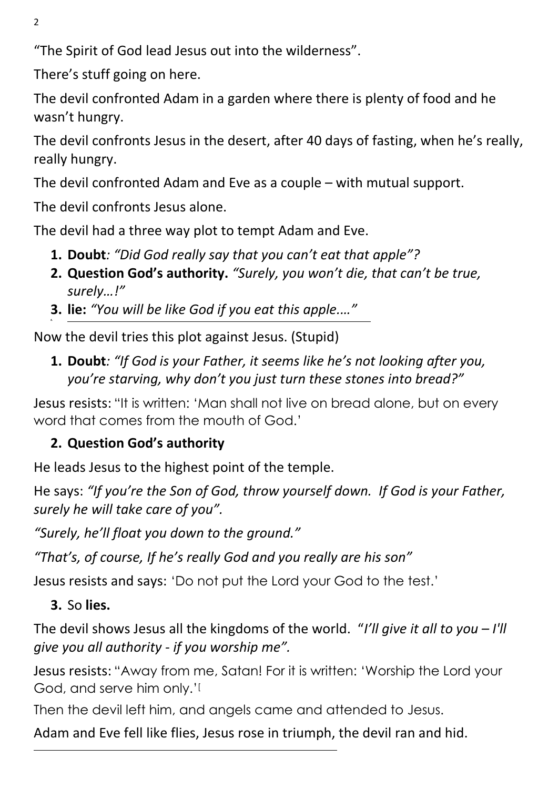2

"The Spirit of God lead Jesus out into the wilderness".

There's stuff going on here.

The devil confronted Adam in a garden where there is plenty of food and he wasn't hungry.

The devil confronts Jesus in the desert, after 40 days of fasting, when he's really, really hungry.

The devil confronted Adam and Eve as a couple – with mutual support.

The devil confronts Jesus alone.

The devil had a three way plot to tempt Adam and Eve.

- **1. Doubt***: "Did God really say that you can't eat that apple"?*
- **2. Question God's authority.** *"Surely, you won't die, that can't be true, surely…!"*
- **3. lie:** *"You will be like God if you eat this apple.…"*  **4.**

Now the devil tries this plot against Jesus. (Stupid)

**1. Doubt***: "If God is your Father, it seems like he's not looking after you, you're starving, why don't you just turn these stones into bread?"* 

Jesus resists: "It is written: 'Man shall not live on bread alone, but on every word that comes from the mouth of God.'

# **2. Question God's authority**

He leads Jesus to the highest point of the temple.

He says: *"If you're the Son of God, throw yourself down. If God is your Father, surely he will take care of you".* 

*"Surely, he'll float you down to the ground."* 

*"That's, of course, If he's really God and you really are his son"* 

Jesus resists and says: 'Do not put the Lord your God to the test.'

# **3.** So **lies.**

The devil shows Jesus all the kingdoms of the world. "*I'll give it all to you – I'll give you all authority - if you worship me".* 

Jesus resists: "Away from me, Satan! For it is written: 'Worship the Lord your God, and serve him only.'[

Then the devil left him, and angels came and attended to Jesus.

Adam and Eve fell like flies, Jesus rose in triumph, the devil ran and hid.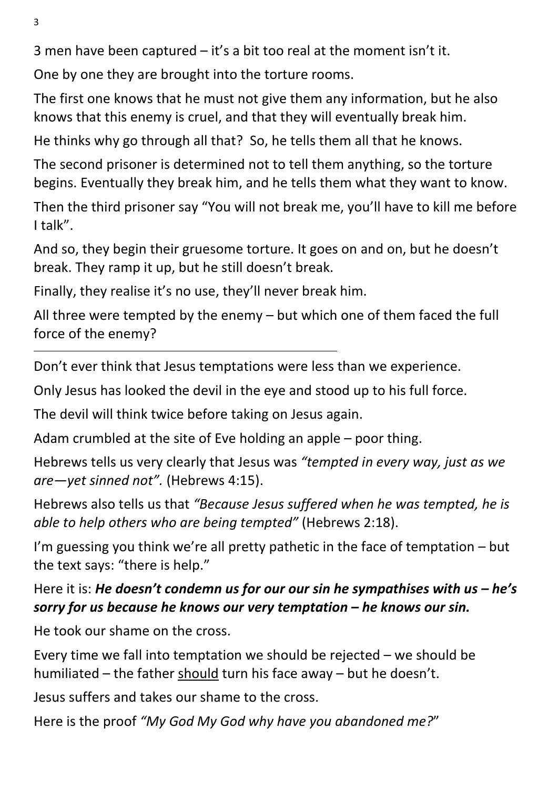3 men have been captured – it's a bit too real at the moment isn't it.

One by one they are brought into the torture rooms.

The first one knows that he must not give them any information, but he also knows that this enemy is cruel, and that they will eventually break him.

He thinks why go through all that? So, he tells them all that he knows.

The second prisoner is determined not to tell them anything, so the torture begins. Eventually they break him, and he tells them what they want to know.

Then the third prisoner say "You will not break me, you'll have to kill me before I talk".

And so, they begin their gruesome torture. It goes on and on, but he doesn't break. They ramp it up, but he still doesn't break.

Finally, they realise it's no use, they'll never break him.

All three were tempted by the enemy – but which one of them faced the full force of the enemy?

Don't ever think that Jesus temptations were less than we experience.

Only Jesus has looked the devil in the eye and stood up to his full force.

The devil will think twice before taking on Jesus again.

Adam crumbled at the site of Eve holding an apple – poor thing.

Hebrews tells us very clearly that Jesus was *"tempted in every way, just as we are—yet sinned not".* (Hebrews 4:15).

Hebrews also tells us that *"Because Jesus suffered when he was tempted, he is able to help others who are being tempted"* (Hebrews 2:18).

I'm guessing you think we're all pretty pathetic in the face of temptation – but the text says: "there is help."

### Here it is: *He doesn't condemn us for our our sin he sympathises with us – he's sorry for us because he knows our very temptation – he knows our sin.*

He took our shame on the cross.

Every time we fall into temptation we should be rejected – we should be humiliated – the father should turn his face away – but he doesn't.

Jesus suffers and takes our shame to the cross.

Here is the proof *"My God My God why have you abandoned me?*"